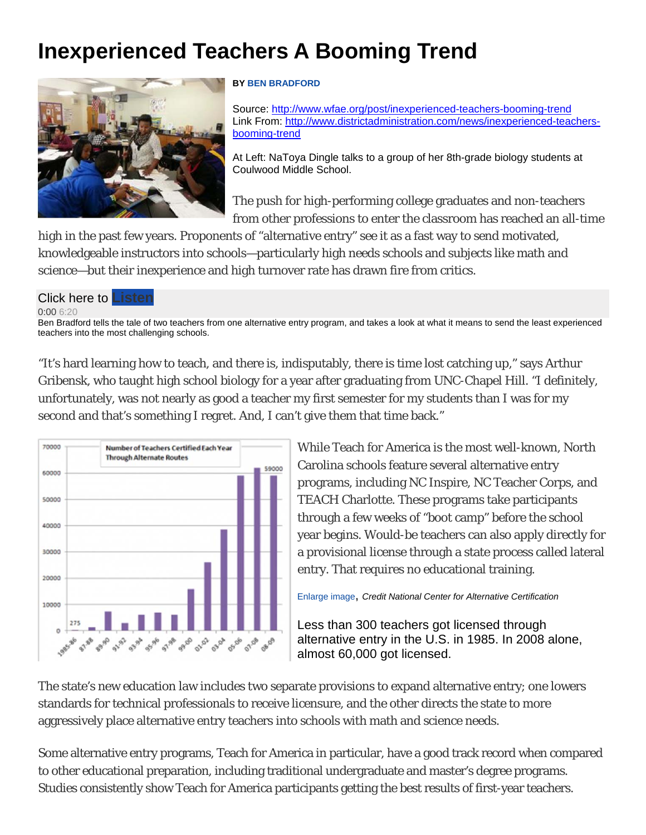# **Inexperienced Teachers A Booming Trend**



## **BY BEN BRADFORD**

Source: http://www.wfae.org/post/inexperienced-teachers-booming-trend Link From: http://www.districtadministration.com/news/inexperienced-teachersbooming-trend

At Left: NaToya Dingle talks to a group of her 8th-grade biology students at Coulwood Middle School.

The push for high-performing college graduates and non-teachers from other professions to enter the classroom has reached an all-time

high in the past few years. Proponents of "alternative entry" see it as a fast way to send motivated, knowledgeable instructors into schools—particularly high needs schools and subjects like math and science—but their inexperience and high turnover rate has drawn fire from critics.

### Click here to

#### 0:00 6:20

Ben Bradford tells the tale of two teachers from one alternative entry program, and takes a look at what it means to send the least experienced teachers into the most challenging schools.

"It's hard learning how to teach, and there is, indisputably, there is time lost catching up," says Arthur Gribensk, who taught high school biology for a year after graduating from UNC-Chapel Hill. "I definitely, unfortunately, was not nearly as good a teacher my first semester for my students than I was for my second and that's something I regret. And, I can't give them that time back."



While Teach for America is the most well-known, North Carolina schools feature several alternative entry programs, including NC Inspire, NC Teacher Corps, and TEACH Charlotte. These programs take participants through a few weeks of "boot camp" before the school year begins. Would-be teachers can also apply directly for a provisional license through a state process called lateral entry. That requires no educational training.

Enlarge image, *Credit National Center for Alternative Certification* 

Less than 300 teachers got licensed through alternative entry in the U.S. in 1985. In 2008 alone, almost 60,000 got licensed.

The state's new education law includes two separate provisions to expand alternative entry; one lowers standards for technical professionals to receive licensure, and the other directs the state to more aggressively place alternative entry teachers into schools with math and science needs.

Some alternative entry programs, Teach for America in particular, have a good track record when compared to other educational preparation, including traditional undergraduate and master's degree programs. Studies consistently show Teach for America participants getting the best results of first-year teachers.